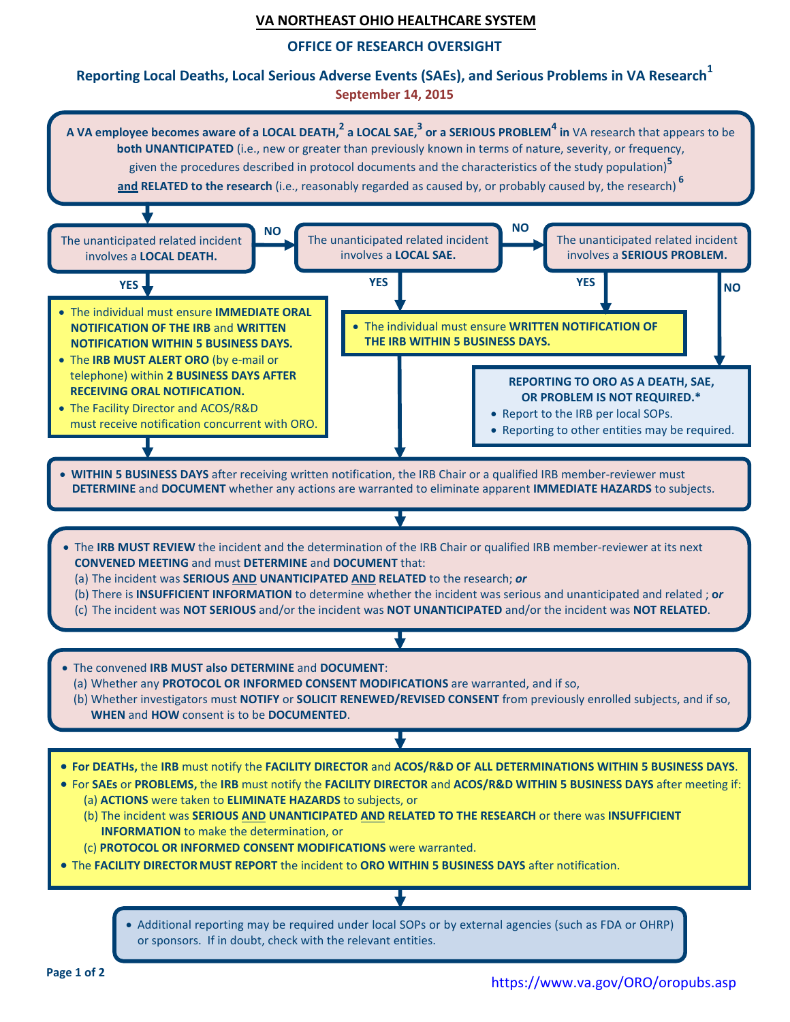### **VA NORTHEAST OHIO HEALTHCARE SYSTEM**

#### **OFFICE OF RESEARCH OVERSIGHT**

## **Reporting Local Deaths, Local Serious Adverse Events (SAEs), and Serious Problems in VA Research<sup>1</sup> September 14, 2015**